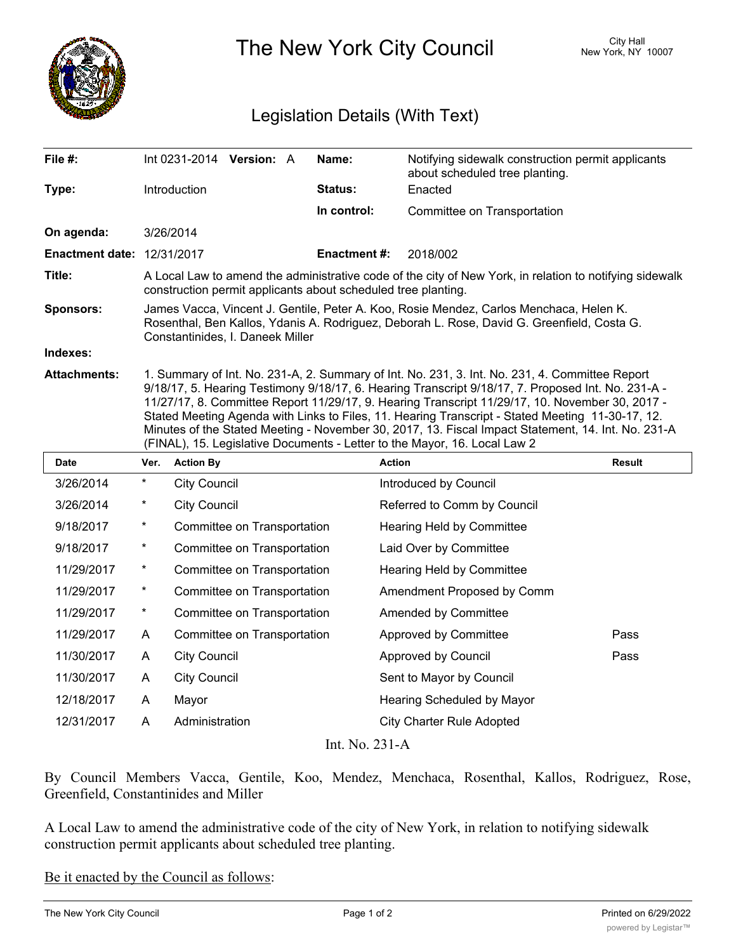

The New York City Council New York, NY 10007

## Legislation Details (With Text)

| File $#$ :                        | Int 0231-2014 Version: A                                                                                                                                                                                                                                                                                                                                                                                                                                                                                          | Name:               | Notifying sidewalk construction permit applicants<br>about scheduled tree planting. |  |  |
|-----------------------------------|-------------------------------------------------------------------------------------------------------------------------------------------------------------------------------------------------------------------------------------------------------------------------------------------------------------------------------------------------------------------------------------------------------------------------------------------------------------------------------------------------------------------|---------------------|-------------------------------------------------------------------------------------|--|--|
| Type:                             | <b>Introduction</b>                                                                                                                                                                                                                                                                                                                                                                                                                                                                                               | <b>Status:</b>      | Enacted                                                                             |  |  |
|                                   |                                                                                                                                                                                                                                                                                                                                                                                                                                                                                                                   | In control:         | Committee on Transportation                                                         |  |  |
| On agenda:                        | 3/26/2014                                                                                                                                                                                                                                                                                                                                                                                                                                                                                                         |                     |                                                                                     |  |  |
| <b>Enactment date: 12/31/2017</b> |                                                                                                                                                                                                                                                                                                                                                                                                                                                                                                                   | <b>Enactment #:</b> | 2018/002                                                                            |  |  |
| Title:                            | A Local Law to amend the administrative code of the city of New York, in relation to notifying sidewalk<br>construction permit applicants about scheduled tree planting.                                                                                                                                                                                                                                                                                                                                          |                     |                                                                                     |  |  |
| <b>Sponsors:</b>                  | James Vacca, Vincent J. Gentile, Peter A. Koo, Rosie Mendez, Carlos Menchaca, Helen K.<br>Rosenthal, Ben Kallos, Ydanis A. Rodriguez, Deborah L. Rose, David G. Greenfield, Costa G.<br>Constantinides, I. Daneek Miller                                                                                                                                                                                                                                                                                          |                     |                                                                                     |  |  |
| Indexes:                          |                                                                                                                                                                                                                                                                                                                                                                                                                                                                                                                   |                     |                                                                                     |  |  |
| <b>Attachments:</b>               | 1. Summary of Int. No. 231-A, 2. Summary of Int. No. 231, 3. Int. No. 231, 4. Committee Report<br>9/18/17, 5. Hearing Testimony 9/18/17, 6. Hearing Transcript 9/18/17, 7. Proposed Int. No. 231-A -<br>11/27/17, 8. Committee Report 11/29/17, 9. Hearing Transcript 11/29/17, 10. November 30, 2017 -<br>Stated Meeting Agenda with Links to Files, 11. Hearing Transcript - Stated Meeting 11-30-17, 12.<br>Minutes of the Stated Meeting - November 30, 2017, 13. Fiscal Impact Statement, 14. Int. No. 231-A |                     |                                                                                     |  |  |

| (FINAL), 15. Legislative Documents - Letter to the Mayor, 16. Local Law 2 |          |                             |                                  |               |  |  |
|---------------------------------------------------------------------------|----------|-----------------------------|----------------------------------|---------------|--|--|
| Date                                                                      | Ver.     | <b>Action By</b>            | <b>Action</b>                    | <b>Result</b> |  |  |
| 3/26/2014                                                                 | $^\star$ | <b>City Council</b>         | Introduced by Council            |               |  |  |
| 3/26/2014                                                                 | $^\star$ | <b>City Council</b>         | Referred to Comm by Council      |               |  |  |
| 9/18/2017                                                                 | $\star$  | Committee on Transportation | Hearing Held by Committee        |               |  |  |
| 9/18/2017                                                                 | $\ast$   | Committee on Transportation | Laid Over by Committee           |               |  |  |
| 11/29/2017                                                                | $\star$  | Committee on Transportation | Hearing Held by Committee        |               |  |  |
| 11/29/2017                                                                | $\ast$   | Committee on Transportation | Amendment Proposed by Comm       |               |  |  |
| 11/29/2017                                                                | $^\star$ | Committee on Transportation | Amended by Committee             |               |  |  |
| 11/29/2017                                                                | A        | Committee on Transportation | Approved by Committee            | Pass          |  |  |
| 11/30/2017                                                                | A        | <b>City Council</b>         | Approved by Council              | Pass          |  |  |
| 11/30/2017                                                                | A        | <b>City Council</b>         | Sent to Mayor by Council         |               |  |  |
| 12/18/2017                                                                | A        | Mayor                       | Hearing Scheduled by Mayor       |               |  |  |
| 12/31/2017                                                                | A        | Administration              | <b>City Charter Rule Adopted</b> |               |  |  |
| Int. No. 231-A                                                            |          |                             |                                  |               |  |  |

By Council Members Vacca, Gentile, Koo, Mendez, Menchaca, Rosenthal, Kallos, Rodriguez, Rose, Greenfield, Constantinides and Miller

A Local Law to amend the administrative code of the city of New York, in relation to notifying sidewalk construction permit applicants about scheduled tree planting.

Be it enacted by the Council as follows: